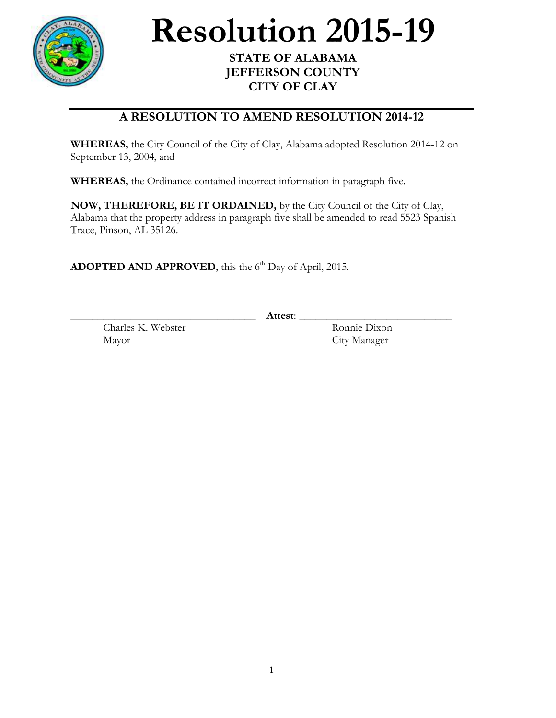

## **Resolution 2015-19**

## **STATE OF ALABAMA JEFFERSON COUNTY CITY OF CLAY**

## **A RESOLUTION TO AMEND RESOLUTION 2014-12**

**WHEREAS,** the City Council of the City of Clay, Alabama adopted Resolution 2014-12 on September 13, 2004, and

**WHEREAS,** the Ordinance contained incorrect information in paragraph five.

**NOW, THEREFORE, BE IT ORDAINED,** by the City Council of the City of Clay, Alabama that the property address in paragraph five shall be amended to read 5523 Spanish Trace, Pinson, AL 35126.

ADOPTED AND APPROVED, this the 6<sup>th</sup> Day of April, 2015.

\_\_\_\_\_\_\_\_\_\_\_\_\_\_\_\_\_\_\_\_\_\_\_\_\_\_\_\_\_\_\_\_\_\_ **Attest**: \_\_\_\_\_\_\_\_\_\_\_\_\_\_\_\_\_\_\_\_\_\_\_\_\_\_\_\_

Charles K. Webster Ronnie Dixon Mayor City Manager